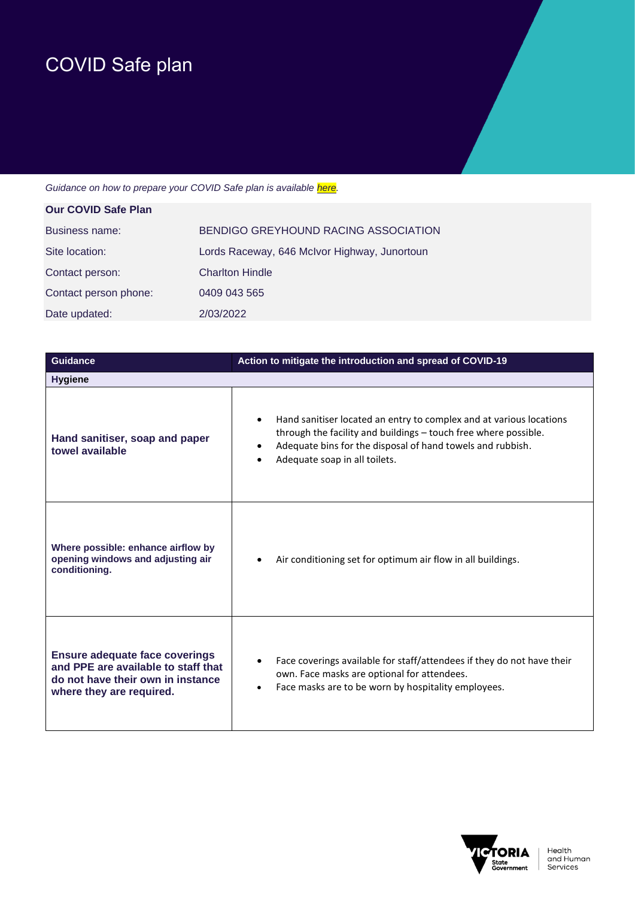## COVID Safe plan

## Guidance on how to prepare your COVID Safe plan is available *here*.

| <b>Our COVID Safe Plan</b> |                                              |
|----------------------------|----------------------------------------------|
| Business name:             | BENDIGO GREYHOUND RACING ASSOCIATION         |
| Site location:             | Lords Raceway, 646 McIvor Highway, Junortoun |
| Contact person:            | <b>Charlton Hindle</b>                       |
| Contact person phone:      | 0409 043 565                                 |
| Date updated:              | 2/03/2022                                    |

| <b>Guidance</b>                                                                                                                               | Action to mitigate the introduction and spread of COVID-19                                                                                                                                                                                         |
|-----------------------------------------------------------------------------------------------------------------------------------------------|----------------------------------------------------------------------------------------------------------------------------------------------------------------------------------------------------------------------------------------------------|
| <b>Hygiene</b>                                                                                                                                |                                                                                                                                                                                                                                                    |
| Hand sanitiser, soap and paper<br>towel available                                                                                             | Hand sanitiser located an entry to complex and at various locations<br>$\bullet$<br>through the facility and buildings - touch free where possible.<br>Adequate bins for the disposal of hand towels and rubbish.<br>Adequate soap in all toilets. |
| Where possible: enhance airflow by<br>opening windows and adjusting air<br>conditioning.                                                      | Air conditioning set for optimum air flow in all buildings.                                                                                                                                                                                        |
| <b>Ensure adequate face coverings</b><br>and PPE are available to staff that<br>do not have their own in instance<br>where they are required. | Face coverings available for staff/attendees if they do not have their<br>$\bullet$<br>own. Face masks are optional for attendees.<br>Face masks are to be worn by hospitality employees.<br>$\bullet$                                             |

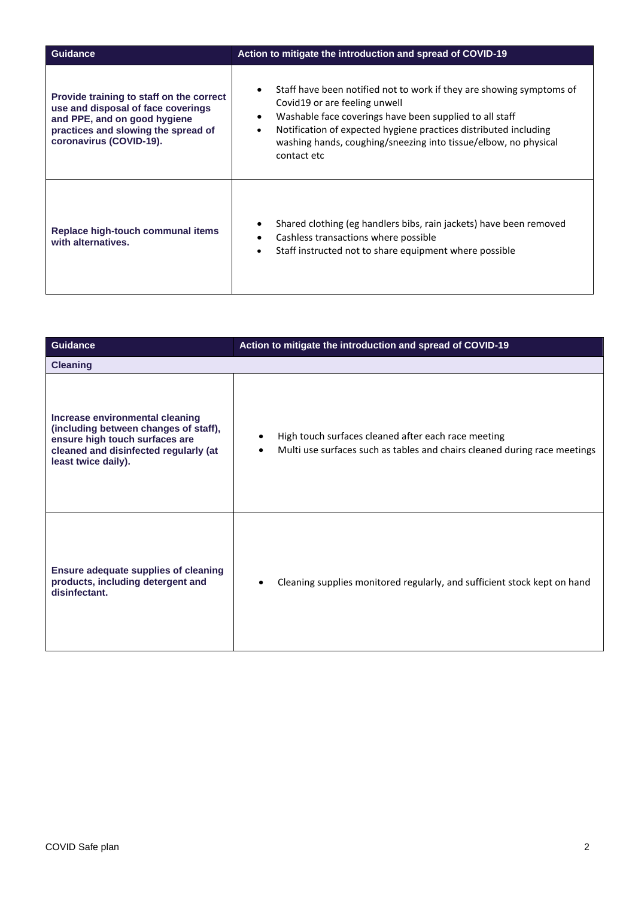| <b>Guidance</b>                                                                                                                                                                  | Action to mitigate the introduction and spread of COVID-19                                                                                                                                                                                                                                                                                       |
|----------------------------------------------------------------------------------------------------------------------------------------------------------------------------------|--------------------------------------------------------------------------------------------------------------------------------------------------------------------------------------------------------------------------------------------------------------------------------------------------------------------------------------------------|
| Provide training to staff on the correct<br>use and disposal of face coverings<br>and PPE, and on good hygiene<br>practices and slowing the spread of<br>coronavirus (COVID-19). | Staff have been notified not to work if they are showing symptoms of<br>Covid19 or are feeling unwell<br>Washable face coverings have been supplied to all staff<br>$\bullet$<br>Notification of expected hygiene practices distributed including<br>$\bullet$<br>washing hands, coughing/sneezing into tissue/elbow, no physical<br>contact etc |
| Replace high-touch communal items<br>with alternatives.                                                                                                                          | Shared clothing (eg handlers bibs, rain jackets) have been removed<br>Cashless transactions where possible<br>$\bullet$<br>Staff instructed not to share equipment where possible<br>$\bullet$                                                                                                                                                   |

| <b>Guidance</b>                                                                                                                                                            | Action to mitigate the introduction and spread of COVID-19                                                                                    |
|----------------------------------------------------------------------------------------------------------------------------------------------------------------------------|-----------------------------------------------------------------------------------------------------------------------------------------------|
| <b>Cleaning</b>                                                                                                                                                            |                                                                                                                                               |
| Increase environmental cleaning<br>(including between changes of staff),<br>ensure high touch surfaces are<br>cleaned and disinfected regularly (at<br>least twice daily). | High touch surfaces cleaned after each race meeting<br>Multi use surfaces such as tables and chairs cleaned during race meetings<br>$\bullet$ |
| <b>Ensure adequate supplies of cleaning</b><br>products, including detergent and<br>disinfectant.                                                                          | Cleaning supplies monitored regularly, and sufficient stock kept on hand                                                                      |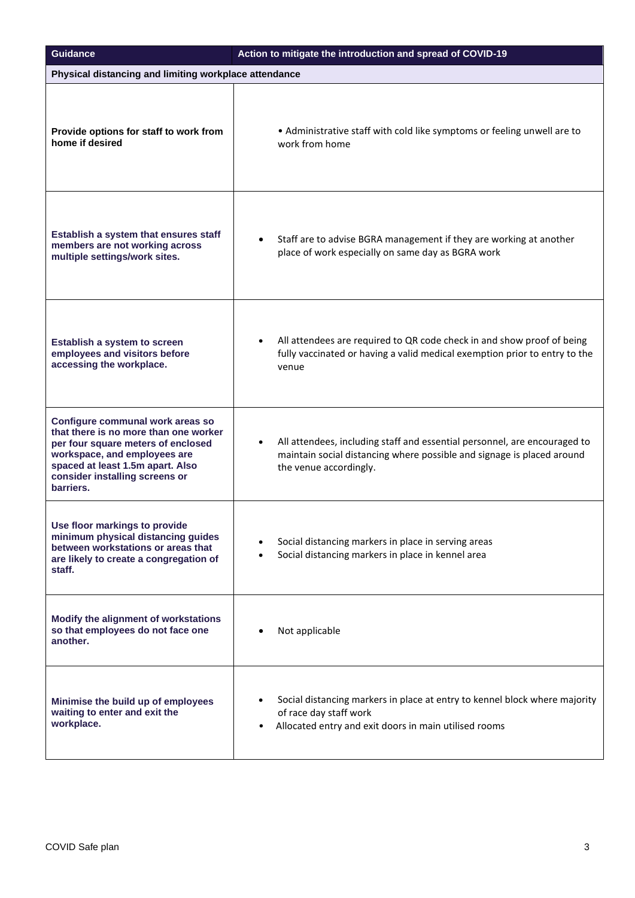| <b>Guidance</b>                                                                                                                                                                                                                    | Action to mitigate the introduction and spread of COVID-19                                                                                                                    |
|------------------------------------------------------------------------------------------------------------------------------------------------------------------------------------------------------------------------------------|-------------------------------------------------------------------------------------------------------------------------------------------------------------------------------|
| Physical distancing and limiting workplace attendance                                                                                                                                                                              |                                                                                                                                                                               |
| Provide options for staff to work from<br>home if desired                                                                                                                                                                          | • Administrative staff with cold like symptoms or feeling unwell are to<br>work from home                                                                                     |
| Establish a system that ensures staff<br>members are not working across<br>multiple settings/work sites.                                                                                                                           | Staff are to advise BGRA management if they are working at another<br>place of work especially on same day as BGRA work                                                       |
| Establish a system to screen<br>employees and visitors before<br>accessing the workplace.                                                                                                                                          | All attendees are required to QR code check in and show proof of being<br>fully vaccinated or having a valid medical exemption prior to entry to the<br>venue                 |
| Configure communal work areas so<br>that there is no more than one worker<br>per four square meters of enclosed<br>workspace, and employees are<br>spaced at least 1.5m apart. Also<br>consider installing screens or<br>barriers. | All attendees, including staff and essential personnel, are encouraged to<br>maintain social distancing where possible and signage is placed around<br>the venue accordingly. |
| Use floor markings to provide<br>minimum physical distancing guides<br>between workstations or areas that<br>are likely to create a congregation of<br>staff.                                                                      | Social distancing markers in place in serving areas<br>Social distancing markers in place in kennel area                                                                      |
| Modify the alignment of workstations<br>so that employees do not face one<br>another.                                                                                                                                              | Not applicable                                                                                                                                                                |
| Minimise the build up of employees<br>waiting to enter and exit the<br>workplace.                                                                                                                                                  | Social distancing markers in place at entry to kennel block where majority<br>of race day staff work<br>Allocated entry and exit doors in main utilised rooms                 |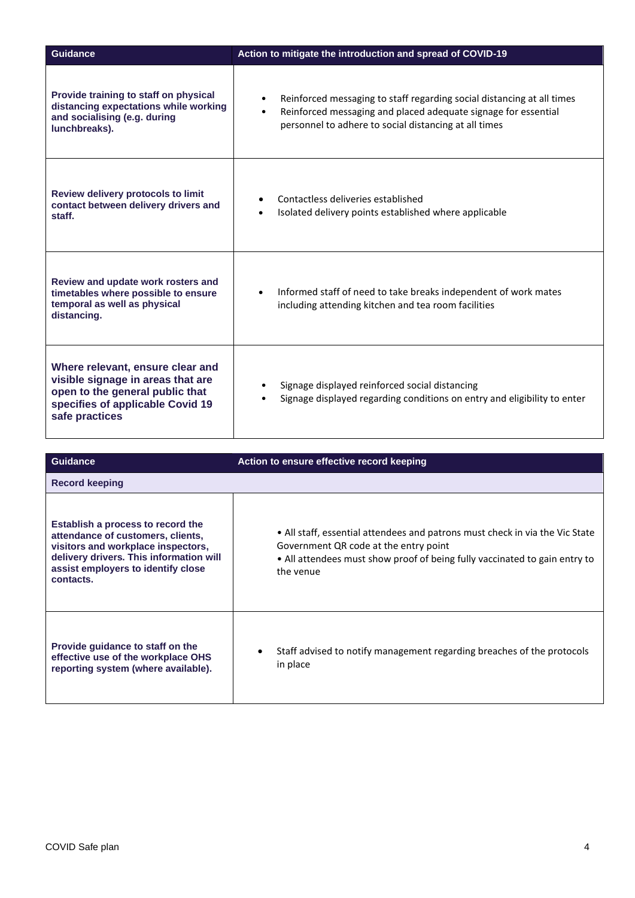| <b>Guidance</b>                                                                                                                                                | Action to mitigate the introduction and spread of COVID-19                                                                                                                                                                  |
|----------------------------------------------------------------------------------------------------------------------------------------------------------------|-----------------------------------------------------------------------------------------------------------------------------------------------------------------------------------------------------------------------------|
| Provide training to staff on physical<br>distancing expectations while working<br>and socialising (e.g. during<br>lunchbreaks).                                | Reinforced messaging to staff regarding social distancing at all times<br>$\bullet$<br>Reinforced messaging and placed adequate signage for essential<br>$\bullet$<br>personnel to adhere to social distancing at all times |
| <b>Review delivery protocols to limit</b><br>contact between delivery drivers and<br>staff.                                                                    | Contactless deliveries established<br>Isolated delivery points established where applicable                                                                                                                                 |
| Review and update work rosters and<br>timetables where possible to ensure<br>temporal as well as physical<br>distancing.                                       | Informed staff of need to take breaks independent of work mates<br>including attending kitchen and tea room facilities                                                                                                      |
| Where relevant, ensure clear and<br>visible signage in areas that are<br>open to the general public that<br>specifies of applicable Covid 19<br>safe practices | Signage displayed reinforced social distancing<br>Signage displayed regarding conditions on entry and eligibility to enter                                                                                                  |

| Guidance                                                                                                                                                                                                   | Action to ensure effective record keeping                                                                                                                                                                        |
|------------------------------------------------------------------------------------------------------------------------------------------------------------------------------------------------------------|------------------------------------------------------------------------------------------------------------------------------------------------------------------------------------------------------------------|
| <b>Record keeping</b>                                                                                                                                                                                      |                                                                                                                                                                                                                  |
| Establish a process to record the<br>attendance of customers, clients,<br>visitors and workplace inspectors,<br>delivery drivers. This information will<br>assist employers to identify close<br>contacts. | • All staff, essential attendees and patrons must check in via the Vic State<br>Government QR code at the entry point<br>• All attendees must show proof of being fully vaccinated to gain entry to<br>the venue |
| Provide guidance to staff on the<br>effective use of the workplace OHS<br>reporting system (where available).                                                                                              | Staff advised to notify management regarding breaches of the protocols<br>in place                                                                                                                               |